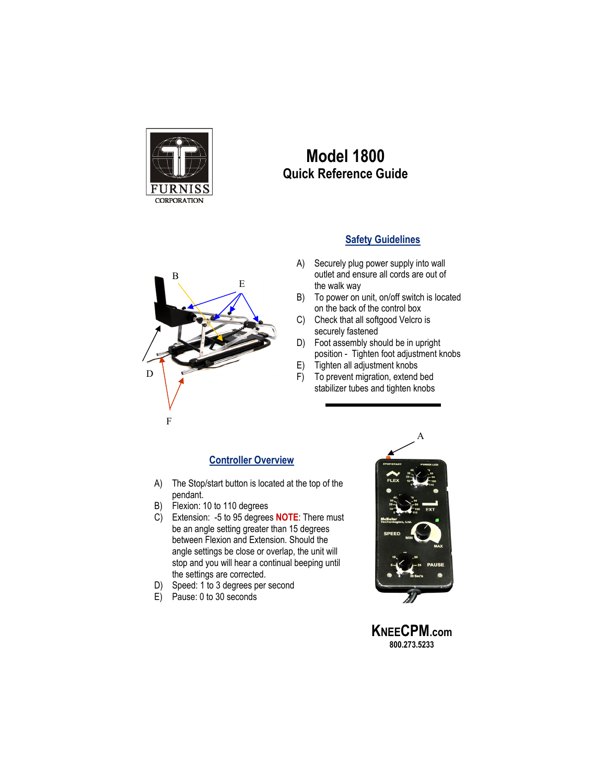

## **Model 1800 Quick Reference Guide**

## **Safety Guidelines**

- A) Securely plug power supply into wall outlet and ensure all cords are out of the walk way
- B) To power on unit, on/off switch is located on the back of the control box
- C) Check that all softgood Velcro is securely fastened
- D) Foot assembly should be in upright position - Tighten foot adjustment knobs
- E) Tighten all adjustment knobs
- F) To prevent migration, extend bed stabilizer tubes and tighten knobs

## **Controller Overview**

- A) The Stop/start button is located at the top of the pendant.
- B) Flexion: 10 to 110 degrees
- C) Extension: -5 to 95 degrees **NOTE**: There must be an angle setting greater than 15 degrees between Flexion and Extension. Should the angle settings be close or overlap, the unit will stop and you will hear a continual beeping until the settings are corrected.
- D) Speed: 1 to 3 degrees per second
- E) Pause: 0 to 30 seconds



**KNEECPM.com 800.273.5233**